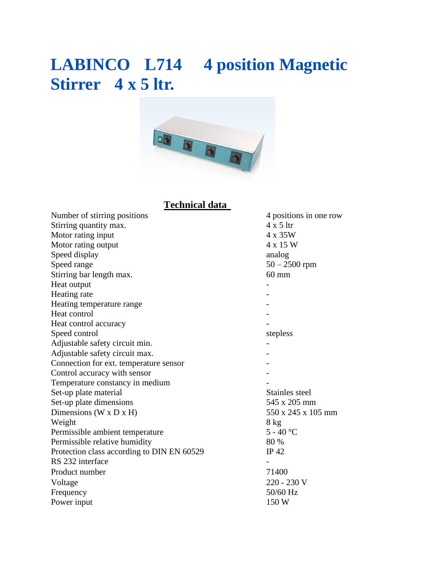## **LABINCO L714 4 position Magnetic Stirrer 4 x 5 ltr.**



### **Technical data**

| Number of stirring positions               | 4 positions in one row |
|--------------------------------------------|------------------------|
| Stirring quantity max.                     | $4 \times 5$ ltr       |
| Motor rating input                         | 4 x 35W                |
| Motor rating output                        | 4 x 15 W               |
| Speed display                              | analog                 |
| Speed range                                | $50 - 2500$ rpm        |
| Stirring bar length max.                   | $60 \text{ mm}$        |
| Heat output                                |                        |
| Heating rate                               |                        |
| Heating temperature range                  |                        |
| Heat control                               |                        |
| Heat control accuracy                      |                        |
| Speed control                              | stepless               |
| Adjustable safety circuit min.             |                        |
| Adjustable safety circuit max.             |                        |
| Connection for ext. temperature sensor     |                        |
| Control accuracy with sensor               |                        |
| Temperature constancy in medium            |                        |
| Set-up plate material                      | Stainles steel         |
| Set-up plate dimensions                    | 545 x 205 mm           |
| Dimensions ( $W \times D \times H$ )       | 550 x 245 x 105 mm     |
| Weight                                     | 8 kg                   |
| Permissible ambient temperature            | $5 - 40 °C$            |
| Permissible relative humidity              | 80 %                   |
| Protection class according to DIN EN 60529 | IP 42                  |
| RS 232 interface                           |                        |
| Product number                             | 71400                  |
| Voltage                                    | 220 - 230 V            |
| Frequency                                  | 50/60 Hz               |
| Power input                                | 150 W                  |